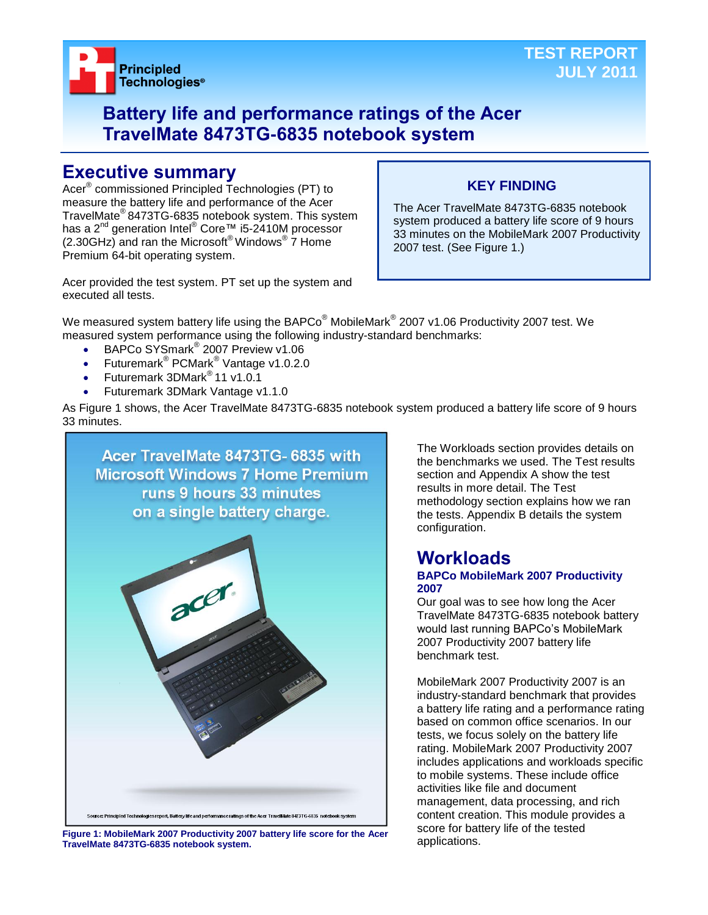



# **Battery life and performance ratings of the Acer TravelMate 8473TG-6835 notebook system**

# **Executive summary**

Acer® commissioned Principled Technologies (PT) to measure the battery life and performance of the Acer TravelMate® 8473TG-6835 notebook system. This system has a 2<sup>nd</sup> generation Intel<sup>®</sup> Core™ i5-2410M processor  $(2.30$ GHz) and ran the Microsoft® Windows®  $\overline{7}$  Home Premium 64-bit operating system.

## **KEY FINDING**

The Acer TravelMate 8473TG-6835 notebook system produced a battery life score of 9 hours 33 minutes on the MobileMark 2007 Productivity 2007 test. (See Figure 1.)

Acer provided the test system. PT set up the system and executed all tests.

We measured system battery life using the BAPCo $^\circ$  MobileMark $^\circ$  2007 v1.06 Productivity 2007 test. We measured system performance using the following industry-standard benchmarks:

- BAPCo SYSmark<sup>®</sup> 2007 Preview v1.06
- Futuremark<sup>®</sup> PCMark<sup>®</sup> Vantage v1.0.2.0
- Futuremark 3DMark® 11 v1.0.1
- Futuremark 3DMark Vantage v1.1.0

As Figure 1 shows, the Acer TravelMate 8473TG-6835 notebook system produced a battery life score of 9 hours 33 minutes.



Figure 1: MobileMark 2007 Productivity 2007 battery life score for the Acer **SCOLE TOLIDAL**<br>TravelMate 8473TG-6835 potebook system **TravelMate 8473TG-6835 notebook system.**

The Workloads section provides details on the benchmarks we used. The Test results section and Appendix A show the test results in more detail. The Test methodology section explains how we ran the tests. Appendix B details the system configuration.

#### **Workloads BAPCo MobileMark 2007 Productivity 2007**

Our goal was to see how long the Acer TravelMate 8473TG-6835 notebook battery would last running BAPCo's MobileMark 2007 Productivity 2007 battery life benchmark test.

MobileMark 2007 Productivity 2007 is an industry-standard benchmark that provides a battery life rating and a performance rating based on common office scenarios. In our tests, we focus solely on the battery life rating. MobileMark 2007 Productivity 2007 includes applications and workloads specific to mobile systems. These include office activities like file and document management, data processing, and rich content creation. This module provides a score for battery life of the tested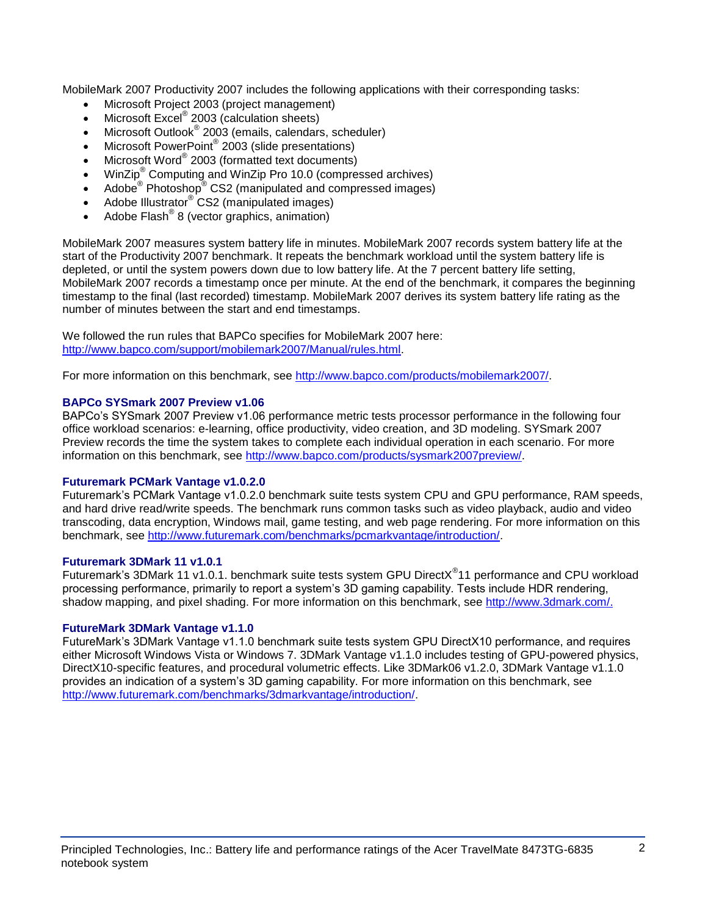MobileMark 2007 Productivity 2007 includes the following applications with their corresponding tasks:

- Microsoft Project 2003 (project management)
- Microsoft Excel<sup>®</sup> 2003 (calculation sheets)
- Microsoft Outlook<sup>®</sup> 2003 (emails, calendars, scheduler)
- Microsoft PowerPoint® 2003 (slide presentations)
- Microsoft Word® 2003 (formatted text documents)
- WinZip® Computing and WinZip Pro 10.0 (compressed archives)
- Adobe  $^{\circ}$  Photoshop $^{\circ}$  CS2 (manipulated and compressed images)
- Adobe Illustrator® CS2 (manipulated images)
- $\bullet$  Adobe Flash<sup>®</sup> 8 (vector graphics, animation)

MobileMark 2007 measures system battery life in minutes. MobileMark 2007 records system battery life at the start of the Productivity 2007 benchmark. It repeats the benchmark workload until the system battery life is depleted, or until the system powers down due to low battery life. At the 7 percent battery life setting, MobileMark 2007 records a timestamp once per minute. At the end of the benchmark, it compares the beginning timestamp to the final (last recorded) timestamp. MobileMark 2007 derives its system battery life rating as the number of minutes between the start and end timestamps.

We followed the run rules that BAPCo specifies for MobileMark 2007 here: [http://www.bapco.com/support/mobilemark2007/Manual/rules.html.](http://www.bapco.com/support/mobilemark2007/Manual/rules.html)

For more information on this benchmark, see [http://www.bapco.com/products/mobilemark2007/.](http://www.bapco.com/products/mobilemark2007/)

#### **BAPCo SYSmark 2007 Preview v1.06**

BAPCo's SYSmark 2007 Preview v1.06 performance metric tests processor performance in the following four office workload scenarios: e-learning, office productivity, video creation, and 3D modeling. SYSmark 2007 Preview records the time the system takes to complete each individual operation in each scenario. For more information on this benchmark, see [http://www.bapco.com/products/sysmark2007preview/.](http://www.bapco.com/products/sysmark2007preview/)

#### **Futuremark PCMark Vantage v1.0.2.0**

Futuremark's PCMark Vantage v1.0.2.0 benchmark suite tests system CPU and GPU performance, RAM speeds, and hard drive read/write speeds. The benchmark runs common tasks such as video playback, audio and video transcoding, data encryption, Windows mail, game testing, and web page rendering. For more information on this benchmark, see [http://www.futuremark.com/benchmarks/pcmarkvantage/introduction/.](http://www.futuremark.com/benchmarks/pcmarkvantage/introduction/)

#### **Futuremark 3DMark 11 v1.0.1**

Futuremark's 3DMark 11 v1.0.1. benchmark suite tests system GPU DirectX<sup>®</sup>11 performance and CPU workload processing performance, primarily to report a system's 3D gaming capability. Tests include HDR rendering, shadow mapping, and pixel shading. For more information on this benchmark, see [http://www.3dmark.com/.](http://www.3dmark.com/)

#### **FutureMark 3DMark Vantage v1.1.0**

FutureMark's 3DMark Vantage v1.1.0 benchmark suite tests system GPU DirectX10 performance, and requires either Microsoft Windows Vista or Windows 7. 3DMark Vantage v1.1.0 includes testing of GPU-powered physics, DirectX10-specific features, and procedural volumetric effects. Like 3DMark06 v1.2.0, 3DMark Vantage v1.1.0 provides an indication of a system's 3D gaming capability. For more information on this benchmark, see [http://www.futuremark.com/benchmarks/3dmarkvantage/introduction/.](http://www.futuremark.com/benchmarks/3dmarkvantage/introduction/)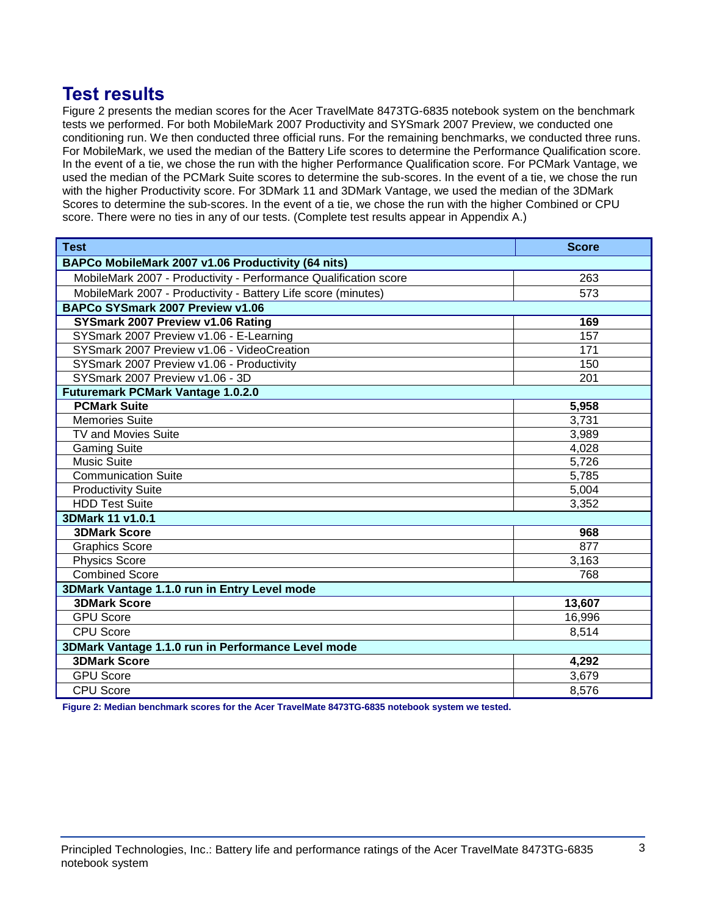# **Test results**

Figure 2 presents the median scores for the Acer TravelMate 8473TG-6835 notebook system on the benchmark tests we performed. For both MobileMark 2007 Productivity and SYSmark 2007 Preview, we conducted one conditioning run. We then conducted three official runs. For the remaining benchmarks, we conducted three runs. For MobileMark, we used the median of the Battery Life scores to determine the Performance Qualification score. In the event of a tie, we chose the run with the higher Performance Qualification score. For PCMark Vantage, we used the median of the PCMark Suite scores to determine the sub-scores. In the event of a tie, we chose the run with the higher Productivity score. For 3DMark 11 and 3DMark Vantage, we used the median of the 3DMark Scores to determine the sub-scores. In the event of a tie, we chose the run with the higher Combined or CPU score. There were no ties in any of our tests. (Complete test results appear in Appendix A.)

| <b>Test</b>                                                      | <b>Score</b> |  |
|------------------------------------------------------------------|--------------|--|
| BAPCo MobileMark 2007 v1.06 Productivity (64 nits)               |              |  |
| MobileMark 2007 - Productivity - Performance Qualification score | 263          |  |
| MobileMark 2007 - Productivity - Battery Life score (minutes)    | 573          |  |
| BAPCo SYSmark 2007 Preview v1.06                                 |              |  |
| SYSmark 2007 Preview v1.06 Rating                                | 169          |  |
| SYSmark 2007 Preview v1.06 - E-Learning                          | 157          |  |
| SYSmark 2007 Preview v1.06 - VideoCreation                       | 171          |  |
| SYSmark 2007 Preview v1.06 - Productivity                        | 150          |  |
| SYSmark 2007 Preview v1.06 - 3D                                  | 201          |  |
| <b>Futuremark PCMark Vantage 1.0.2.0</b>                         |              |  |
| <b>PCMark Suite</b>                                              | 5,958        |  |
| <b>Memories Suite</b>                                            | 3,731        |  |
| <b>TV and Movies Suite</b>                                       | 3,989        |  |
| <b>Gaming Suite</b>                                              | 4,028        |  |
| <b>Music Suite</b>                                               | 5,726        |  |
| <b>Communication Suite</b>                                       | 5,785        |  |
| <b>Productivity Suite</b>                                        | 5,004        |  |
| <b>HDD Test Suite</b>                                            | 3,352        |  |
| 3DMark 11 v1.0.1                                                 |              |  |
| <b>3DMark Score</b>                                              | 968          |  |
| <b>Graphics Score</b>                                            | 877          |  |
| <b>Physics Score</b>                                             | 3,163        |  |
| <b>Combined Score</b>                                            | 768          |  |
| 3DMark Vantage 1.1.0 run in Entry Level mode                     |              |  |
| <b>3DMark Score</b>                                              | 13,607       |  |
| <b>GPU Score</b>                                                 | 16,996       |  |
| <b>CPU Score</b>                                                 | 8,514        |  |
| 3DMark Vantage 1.1.0 run in Performance Level mode               |              |  |
| <b>3DMark Score</b>                                              | 4,292        |  |
| <b>GPU Score</b>                                                 | 3,679        |  |
| <b>CPU Score</b>                                                 | 8,576        |  |

**Figure 2: Median benchmark scores for the Acer TravelMate 8473TG-6835 notebook system we tested.**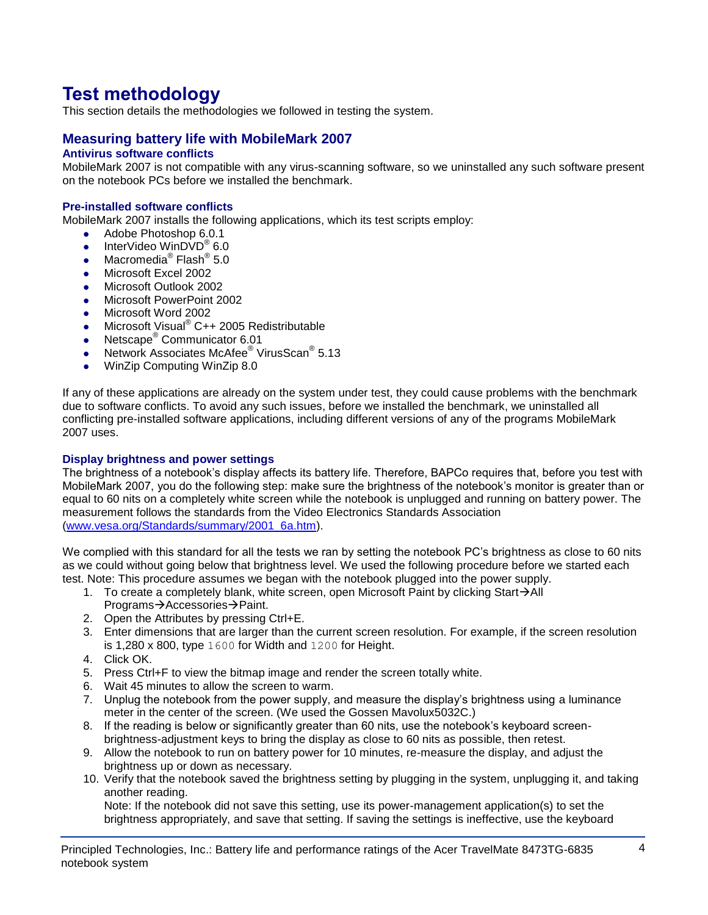# **Test methodology**

This section details the methodologies we followed in testing the system.

## **Measuring battery life with MobileMark 2007**

### **Antivirus software conflicts**

MobileMark 2007 is not compatible with any virus-scanning software, so we uninstalled any such software present on the notebook PCs before we installed the benchmark.

#### **Pre-installed software conflicts**

MobileMark 2007 installs the following applications, which its test scripts employ:

- Adobe Photoshop 6.0.1
- InterVideo WinDVD<sup>®</sup> 6.0
- Macromedia® Flash® 5.0
- Microsoft Excel 2002
- Microsoft Outlook 2002
- **Microsoft PowerPoint 2002**
- Microsoft Word 2002
- Microsoft Visual<sup>®</sup> C++ 2005 Redistributable
- Netscape<sup>®</sup> Communicator 6.01
- Network Associates McAfee<sup>®</sup> VirusScan<sup>®</sup> 5.13
- WinZip Computing WinZip 8.0

If any of these applications are already on the system under test, they could cause problems with the benchmark due to software conflicts. To avoid any such issues, before we installed the benchmark, we uninstalled all conflicting pre-installed software applications, including different versions of any of the programs MobileMark 2007 uses.

#### **Display brightness and power settings**

The brightness of a notebook's display affects its battery life. Therefore, BAPCo requires that, before you test with MobileMark 2007, you do the following step: make sure the brightness of the notebook's monitor is greater than or equal to 60 nits on a completely white screen while the notebook is unplugged and running on battery power. The measurement follows the standards from the Video Electronics Standards Association [\(www.vesa.org/Standards/summary/2001\\_6a.htm\)](http://www.vesa.org/Standards/summary/2001_6a.htm).

We complied with this standard for all the tests we ran by setting the notebook PC's brightness as close to 60 nits as we could without going below that brightness level. We used the following procedure before we started each test. Note: This procedure assumes we began with the notebook plugged into the power supply.

- 1. To create a completely blank, white screen, open Microsoft Paint by clicking Start $\rightarrow$ All Programs→Accessories→Paint.
- 2. Open the Attributes by pressing Ctrl+E.
- 3. Enter dimensions that are larger than the current screen resolution. For example, if the screen resolution is 1,280 x 800, type 1600 for Width and 1200 for Height.
- 4. Click OK.
- 5. Press Ctrl+F to view the bitmap image and render the screen totally white.
- 6. Wait 45 minutes to allow the screen to warm.
- 7. Unplug the notebook from the power supply, and measure the display's brightness using a luminance meter in the center of the screen. (We used the Gossen Mavolux5032C.)
- 8. If the reading is below or significantly greater than 60 nits, use the notebook's keyboard screenbrightness-adjustment keys to bring the display as close to 60 nits as possible, then retest.
- 9. Allow the notebook to run on battery power for 10 minutes, re-measure the display, and adjust the brightness up or down as necessary.
- 10. Verify that the notebook saved the brightness setting by plugging in the system, unplugging it, and taking another reading.

Note: If the notebook did not save this setting, use its power-management application(s) to set the brightness appropriately, and save that setting. If saving the settings is ineffective, use the keyboard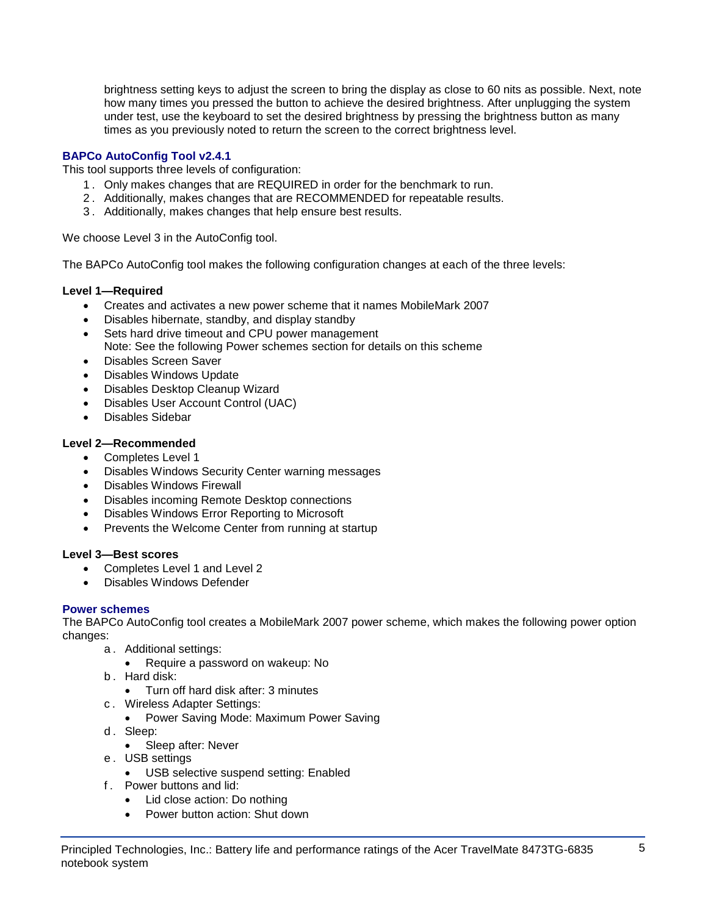brightness setting keys to adjust the screen to bring the display as close to 60 nits as possible. Next, note how many times you pressed the button to achieve the desired brightness. After unplugging the system under test, use the keyboard to set the desired brightness by pressing the brightness button as many times as you previously noted to return the screen to the correct brightness level.

### **BAPCo AutoConfig Tool v2.4.1**

This tool supports three levels of configuration:

- 1 . Only makes changes that are REQUIRED in order for the benchmark to run.
- 2 . Additionally, makes changes that are RECOMMENDED for repeatable results.
- 3 . Additionally, makes changes that help ensure best results.

We choose Level 3 in the AutoConfig tool.

The BAPCo AutoConfig tool makes the following configuration changes at each of the three levels:

#### **Level 1—Required**

- Creates and activates a new power scheme that it names MobileMark 2007
- Disables hibernate, standby, and display standby
- Sets hard drive timeout and CPU power management
- Note: See the following Power schemes section for details on this scheme
- Disables Screen Saver
- Disables Windows Update
- Disables Desktop Cleanup Wizard
- Disables User Account Control (UAC)
- Disables Sidebar

#### **Level 2—Recommended**

- Completes Level 1
- Disables Windows Security Center warning messages
- Disables Windows Firewall
- Disables incoming Remote Desktop connections
- Disables Windows Error Reporting to Microsoft
- Prevents the Welcome Center from running at startup

#### **Level 3—Best scores**

- Completes Level 1 and Level 2
- Disables Windows Defender

#### **Power schemes**

The BAPCo AutoConfig tool creates a MobileMark 2007 power scheme, which makes the following power option changes:

- a . Additional settings:
	- Require a password on wakeup: No
- b . Hard disk:
	- Turn off hard disk after: 3 minutes
- c . Wireless Adapter Settings:
	- Power Saving Mode: Maximum Power Saving
- d. Sleep:
	- Sleep after: Never
- e . USB settings
	- USB selective suspend setting: Enabled
- f . Power buttons and lid:
	- Lid close action: Do nothing
	- Power button action: Shut down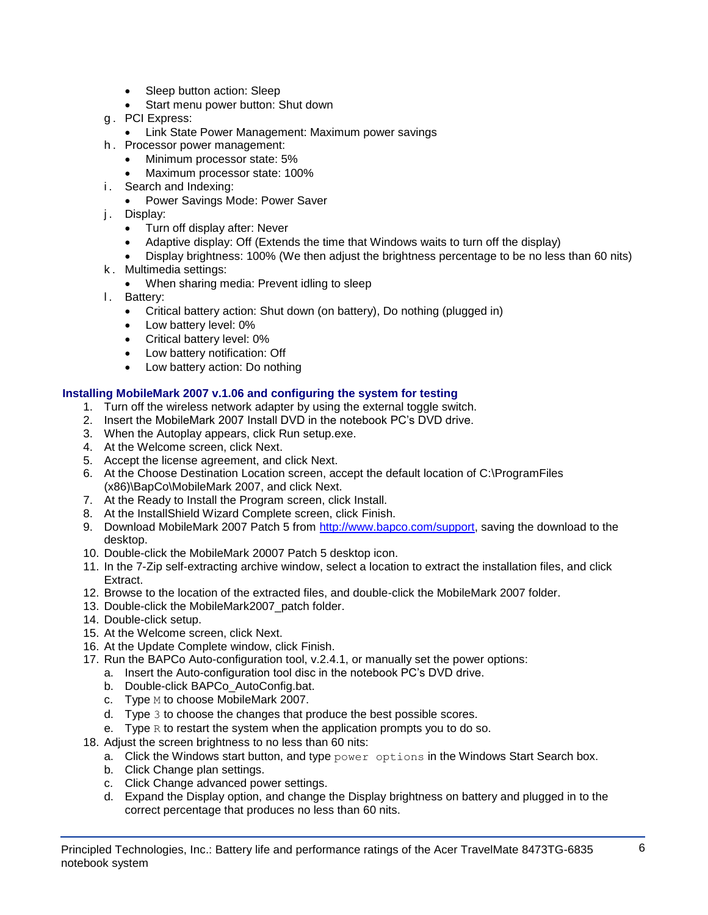- Sleep button action: Sleep
- Start menu power button: Shut down
- g . PCI Express:
	- **Link State Power Management: Maximum power savings**
- h . Processor power management:
	- Minimum processor state: 5%
	- Maximum processor state: 100%
- i. Search and Indexing:
	- Power Savings Mode: Power Saver
- j. Display:
	- Turn off display after: Never
	- Adaptive display: Off (Extends the time that Windows waits to turn off the display)
	- Display brightness: 100% (We then adjust the brightness percentage to be no less than 60 nits)
- k . Multimedia settings:
	- When sharing media: Prevent idling to sleep
- l. Battery:
	- Critical battery action: Shut down (on battery), Do nothing (plugged in)
	- Low battery level: 0%
	- Critical battery level: 0%
	- Low battery notification: Off
	- Low battery action: Do nothing

#### **Installing MobileMark 2007 v.1.06 and configuring the system for testing**

- 1. Turn off the wireless network adapter by using the external toggle switch.
- 2. Insert the MobileMark 2007 Install DVD in the notebook PC's DVD drive.
- 3. When the Autoplay appears, click Run setup.exe.
- 4. At the Welcome screen, click Next.
- 5. Accept the license agreement, and click Next.
- 6. At the Choose Destination Location screen, accept the default location of C:\ProgramFiles (x86)\BapCo\MobileMark 2007, and click Next.
- 7. At the Ready to Install the Program screen, click Install.
- 8. At the InstallShield Wizard Complete screen, click Finish.
- 9. Download MobileMark 2007 Patch 5 from [http://www.bapco.com/support,](http://www.bapco.com/support) saving the download to the desktop.
- 10. Double-click the MobileMark 20007 Patch 5 desktop icon.
- 11. In the 7-Zip self-extracting archive window, select a location to extract the installation files, and click Extract.
- 12. Browse to the location of the extracted files, and double-click the MobileMark 2007 folder.
- 13. Double-click the MobileMark2007\_patch folder.
- 14. Double-click setup.
- 15. At the Welcome screen, click Next.
- 16. At the Update Complete window, click Finish.
- 17. Run the BAPCo Auto-configuration tool, v.2.4.1, or manually set the power options:
	- a. Insert the Auto-configuration tool disc in the notebook PC's DVD drive.
	- b. Double-click BAPCo\_AutoConfig.bat.
	- c. Type M to choose MobileMark 2007.
	- d. Type 3 to choose the changes that produce the best possible scores.
	- e. Type  $R$  to restart the system when the application prompts you to do so.
- 18. Adjust the screen brightness to no less than 60 nits:
	- a. Click the Windows start button, and type  $power$  options in the Windows Start Search box.
	- b. Click Change plan settings.
	- c. Click Change advanced power settings.
	- d. Expand the Display option, and change the Display brightness on battery and plugged in to the correct percentage that produces no less than 60 nits.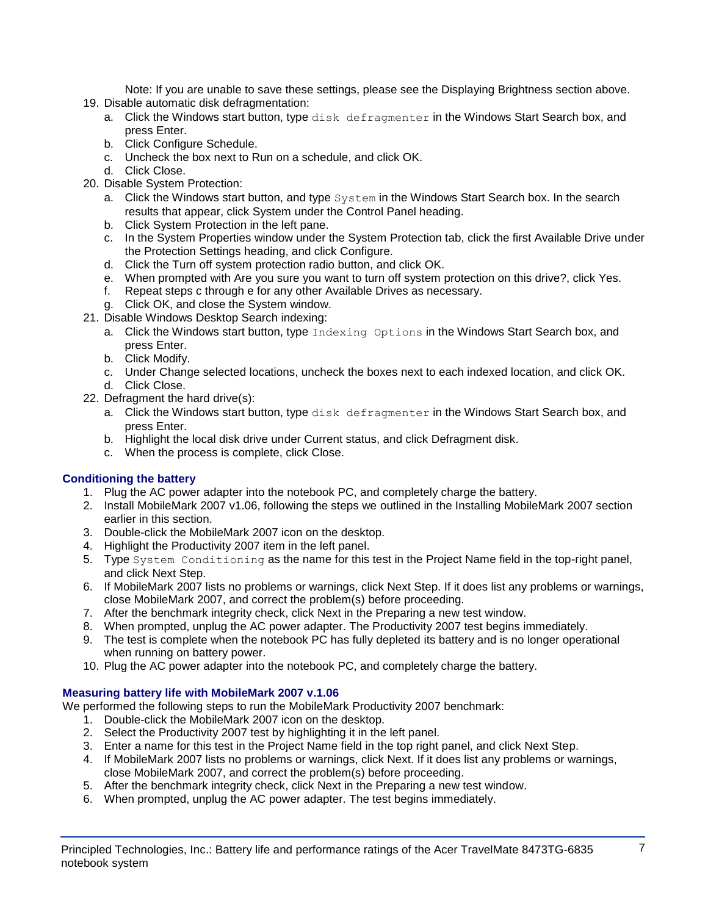Note: If you are unable to save these settings, please see the Displaying Brightness section above.

- 19. Disable automatic disk defragmentation:
	- a. Click the Windows start button, type disk defragmenter in the Windows Start Search box, and press Enter.
	- b. Click Configure Schedule.
	- c. Uncheck the box next to Run on a schedule, and click OK.
	- d. Click Close.
- 20. Disable System Protection:
	- a. Click the Windows start button, and type System in the Windows Start Search box. In the search results that appear, click System under the Control Panel heading.
	- b. Click System Protection in the left pane.
	- c. In the System Properties window under the System Protection tab, click the first Available Drive under the Protection Settings heading, and click Configure.
	- d. Click the Turn off system protection radio button, and click OK.
	- e. When prompted with Are you sure you want to turn off system protection on this drive?, click Yes.
	- f. Repeat steps c through e for any other Available Drives as necessary.
	- g. Click OK, and close the System window.
- 21. Disable Windows Desktop Search indexing:
	- a. Click the Windows start button, type Indexing Options in the Windows Start Search box, and press Enter.
	- b. Click Modify.
	- c. Under Change selected locations, uncheck the boxes next to each indexed location, and click OK. d. Click Close.
- 22. Defragment the hard drive(s):
	- a. Click the Windows start button, type disk defragmenter in the Windows Start Search box, and press Enter.
	- b. Highlight the local disk drive under Current status, and click Defragment disk.
	- c. When the process is complete, click Close.

### **Conditioning the battery**

- 1. Plug the AC power adapter into the notebook PC, and completely charge the battery.
- 2. Install MobileMark 2007 v1.06, following the steps we outlined in the Installing MobileMark 2007 section earlier in this section.
- 3. Double-click the MobileMark 2007 icon on the desktop.
- 4. Highlight the Productivity 2007 item in the left panel.
- 5. Type System Conditioning as the name for this test in the Project Name field in the top-right panel, and click Next Step.
- 6. If MobileMark 2007 lists no problems or warnings, click Next Step. If it does list any problems or warnings, close MobileMark 2007, and correct the problem(s) before proceeding.
- 7. After the benchmark integrity check, click Next in the Preparing a new test window.
- 8. When prompted, unplug the AC power adapter. The Productivity 2007 test begins immediately.
- 9. The test is complete when the notebook PC has fully depleted its battery and is no longer operational when running on battery power.
- 10. Plug the AC power adapter into the notebook PC, and completely charge the battery.

#### **Measuring battery life with MobileMark 2007 v.1.06**

We performed the following steps to run the MobileMark Productivity 2007 benchmark:

- 1. Double-click the MobileMark 2007 icon on the desktop.
- 2. Select the Productivity 2007 test by highlighting it in the left panel.
- 3. Enter a name for this test in the Project Name field in the top right panel, and click Next Step.
- 4. If MobileMark 2007 lists no problems or warnings, click Next. If it does list any problems or warnings, close MobileMark 2007, and correct the problem(s) before proceeding.
- 5. After the benchmark integrity check, click Next in the Preparing a new test window.
- 6. When prompted, unplug the AC power adapter. The test begins immediately.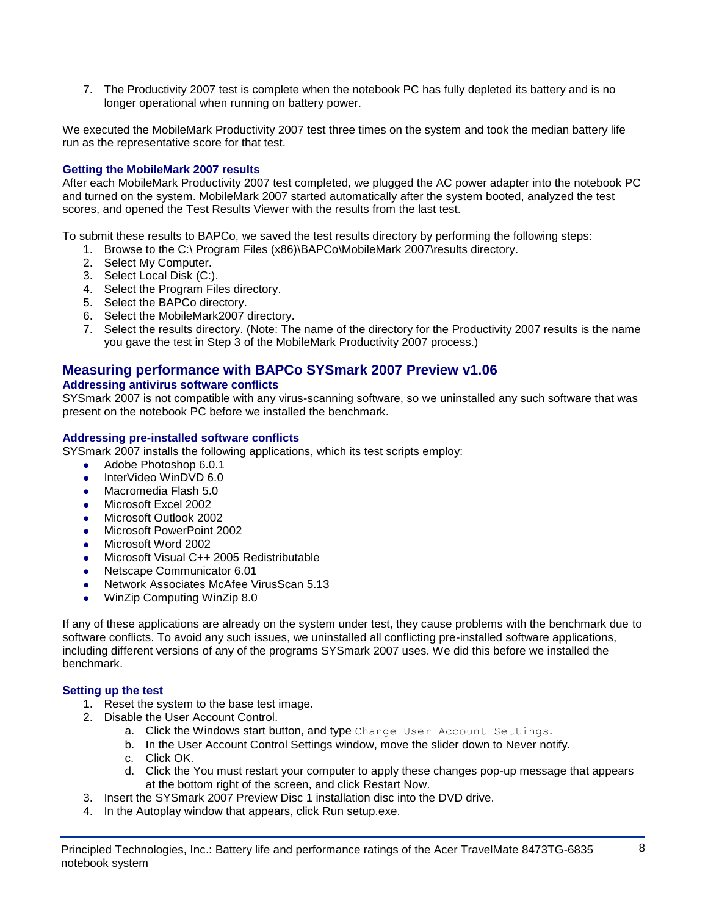7. The Productivity 2007 test is complete when the notebook PC has fully depleted its battery and is no longer operational when running on battery power.

We executed the MobileMark Productivity 2007 test three times on the system and took the median battery life run as the representative score for that test.

#### **Getting the MobileMark 2007 results**

After each MobileMark Productivity 2007 test completed, we plugged the AC power adapter into the notebook PC and turned on the system. MobileMark 2007 started automatically after the system booted, analyzed the test scores, and opened the Test Results Viewer with the results from the last test.

To submit these results to BAPCo, we saved the test results directory by performing the following steps:

- 1. Browse to the C:\ Program Files (x86)\BAPCo\MobileMark 2007\results directory.
- 2. Select My Computer.
- 3. Select Local Disk (C:).
- 4. Select the Program Files directory.
- 5. Select the BAPCo directory.
- 6. Select the MobileMark2007 directory.
- 7. Select the results directory. (Note: The name of the directory for the Productivity 2007 results is the name you gave the test in Step 3 of the MobileMark Productivity 2007 process.)

### **Measuring performance with BAPCo SYSmark 2007 Preview v1.06**

#### **Addressing antivirus software conflicts**

SYSmark 2007 is not compatible with any virus-scanning software, so we uninstalled any such software that was present on the notebook PC before we installed the benchmark.

#### **Addressing pre-installed software conflicts**

SYSmark 2007 installs the following applications, which its test scripts employ:

- Adobe Photoshop 6.0.1
- InterVideo WinDVD 6.0
- Macromedia Flash 5.0
- Microsoft Excel 2002
- Microsoft Outlook 2002
- Microsoft PowerPoint 2002
- Microsoft Word 2002
- Microsoft Visual C++ 2005 Redistributable
- Netscape Communicator 6.01
- Network Associates McAfee VirusScan 5.13
- WinZip Computing WinZip 8.0

If any of these applications are already on the system under test, they cause problems with the benchmark due to software conflicts. To avoid any such issues, we uninstalled all conflicting pre-installed software applications, including different versions of any of the programs SYSmark 2007 uses. We did this before we installed the benchmark.

#### **Setting up the test**

- 1. Reset the system to the base test image.
- 2. Disable the User Account Control.
	- a. Click the Windows start button, and type Change User Account Settings.
	- b. In the User Account Control Settings window, move the slider down to Never notify.
	- c. Click OK.
	- d. Click the You must restart your computer to apply these changes pop-up message that appears at the bottom right of the screen, and click Restart Now.
- 3. Insert the SYSmark 2007 Preview Disc 1 installation disc into the DVD drive.
- 4. In the Autoplay window that appears, click Run setup.exe.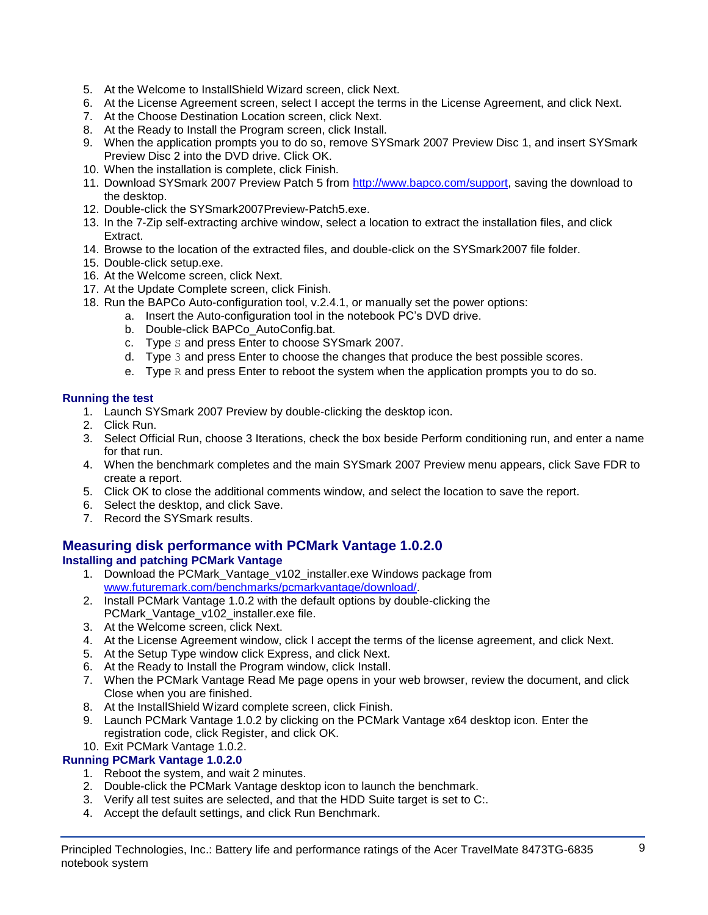- 5. At the Welcome to InstallShield Wizard screen, click Next.
- 6. At the License Agreement screen, select I accept the terms in the License Agreement, and click Next.
- 7. At the Choose Destination Location screen, click Next.
- 8. At the Ready to Install the Program screen, click Install.
- 9. When the application prompts you to do so, remove SYSmark 2007 Preview Disc 1, and insert SYSmark Preview Disc 2 into the DVD drive. Click OK.
- 10. When the installation is complete, click Finish.
- 11. Download SYSmark 2007 Preview Patch 5 from [http://www.bapco.com/support,](http://www.bapco.com/support) saving the download to the desktop.
- 12. Double-click the SYSmark2007Preview-Patch5.exe.
- 13. In the 7-Zip self-extracting archive window, select a location to extract the installation files, and click Extract.
- 14. Browse to the location of the extracted files, and double-click on the SYSmark2007 file folder.
- 15. Double-click setup.exe.
- 16. At the Welcome screen, click Next.
- 17. At the Update Complete screen, click Finish.
- 18. Run the BAPCo Auto-configuration tool, v.2.4.1, or manually set the power options:
	- a. Insert the Auto-configuration tool in the notebook PC's DVD drive.
		- b. Double-click BAPCo\_AutoConfig.bat.
		- c. Type S and press Enter to choose SYSmark 2007.
		- d. Type 3 and press Enter to choose the changes that produce the best possible scores.
		- e. Type  $R$  and press Enter to reboot the system when the application prompts you to do so.

#### **Running the test**

- 1. Launch SYSmark 2007 Preview by double-clicking the desktop icon.
- 2. Click Run.
- 3. Select Official Run, choose 3 Iterations, check the box beside Perform conditioning run, and enter a name for that run.
- 4. When the benchmark completes and the main SYSmark 2007 Preview menu appears, click Save FDR to create a report.
- 5. Click OK to close the additional comments window, and select the location to save the report.
- 6. Select the desktop, and click Save.
- 7. Record the SYSmark results.

# **Measuring disk performance with PCMark Vantage 1.0.2.0**

### **Installing and patching PCMark Vantage**

- 1. Download the PCMark\_Vantage\_v102\_installer.exe Windows package from [www.futuremark.com/benchmarks/pcmarkvantage/download/.](http://www.futuremark.com/benchmarks/pcmarkvantage/download/)
- 2. Install PCMark Vantage 1.0.2 with the default options by double-clicking the PCMark\_Vantage\_v102\_installer.exe file.
- 3. At the Welcome screen, click Next.
- 4. At the License Agreement window, click I accept the terms of the license agreement, and click Next.
- 5. At the Setup Type window click Express, and click Next.
- 6. At the Ready to Install the Program window, click Install.
- 7. When the PCMark Vantage Read Me page opens in your web browser, review the document, and click Close when you are finished.
- 8. At the InstallShield Wizard complete screen, click Finish.
- 9. Launch PCMark Vantage 1.0.2 by clicking on the PCMark Vantage x64 desktop icon. Enter the registration code, click Register, and click OK.

# 10. Exit PCMark Vantage 1.0.2.

## **Running PCMark Vantage 1.0.2.0**

- 1. Reboot the system, and wait 2 minutes.
- 2. Double-click the PCMark Vantage desktop icon to launch the benchmark.
- 3. Verify all test suites are selected, and that the HDD Suite target is set to C:.
- 4. Accept the default settings, and click Run Benchmark.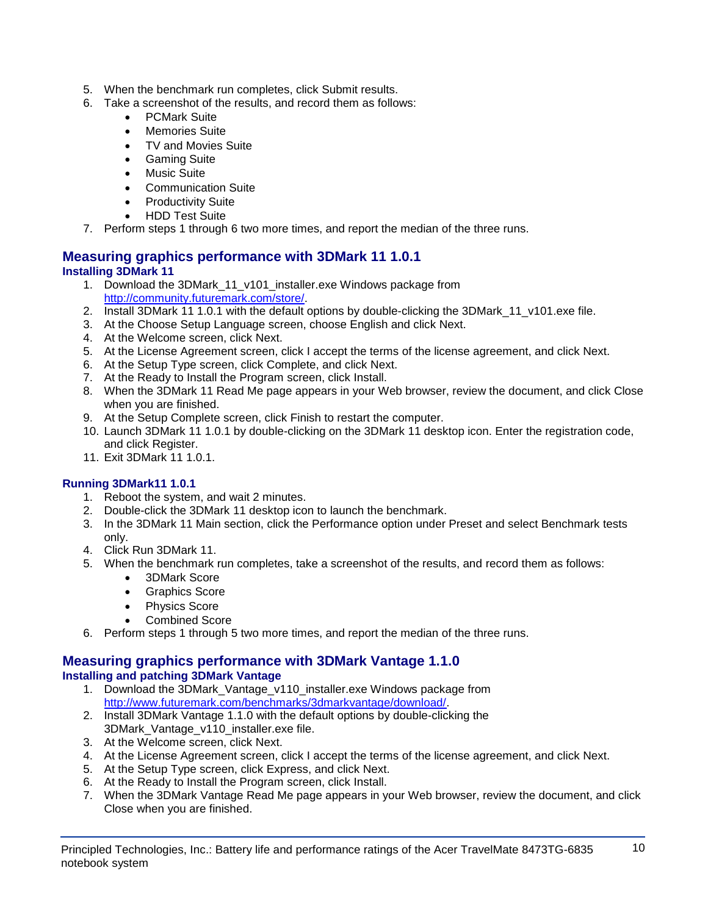- 5. When the benchmark run completes, click Submit results.
- 6. Take a screenshot of the results, and record them as follows:
	- PCMark Suite
	- Memories Suite
	- TV and Movies Suite
	- Gaming Suite
	- Music Suite
	- Communication Suite
	- Productivity Suite
	- HDD Test Suite
- 7. Perform steps 1 through 6 two more times, and report the median of the three runs.

## **Measuring graphics performance with 3DMark 11 1.0.1 Installing 3DMark 11**

- 1. Download the 3DMark\_11\_v101\_installer.exe Windows package from [http://community.futuremark.com/store/.](http://community.futuremark.com/store/)
- 2. Install 3DMark 11 1.0.1 with the default options by double-clicking the 3DMark 11 v101.exe file.
- 3. At the Choose Setup Language screen, choose English and click Next.
- 4. At the Welcome screen, click Next.
- 5. At the License Agreement screen, click I accept the terms of the license agreement, and click Next.
- 6. At the Setup Type screen, click Complete, and click Next.
- 7. At the Ready to Install the Program screen, click Install.
- 8. When the 3DMark 11 Read Me page appears in your Web browser, review the document, and click Close when you are finished.
- 9. At the Setup Complete screen, click Finish to restart the computer.
- 10. Launch 3DMark 11 1.0.1 by double-clicking on the 3DMark 11 desktop icon. Enter the registration code, and click Register.
- 11. Exit 3DMark 11 1.0.1.

### **Running 3DMark11 1.0.1**

- 1. Reboot the system, and wait 2 minutes.
- 2. Double-click the 3DMark 11 desktop icon to launch the benchmark.
- 3. In the 3DMark 11 Main section, click the Performance option under Preset and select Benchmark tests only.
- 4. Click Run 3DMark 11.
- 5. When the benchmark run completes, take a screenshot of the results, and record them as follows:
	- 3DMark Score
	- Graphics Score
	- Physics Score
	- Combined Score
- 6. Perform steps 1 through 5 two more times, and report the median of the three runs.

#### **Measuring graphics performance with 3DMark Vantage 1.1.0 Installing and patching 3DMark Vantage**

- 1. Download the 3DMark Vantage v110 installer.exe Windows package from [http://www.futuremark.com/benchmarks/3dmarkvantage/download/.](http://www.futuremark.com/benchmarks/3dmarkvantage/download/)
- 2. Install 3DMark Vantage 1.1.0 with the default options by double-clicking the 3DMark\_Vantage\_v110\_installer.exe file.
- 3. At the Welcome screen, click Next.
- 4. At the License Agreement screen, click I accept the terms of the license agreement, and click Next.
- 5. At the Setup Type screen, click Express, and click Next.
- 6. At the Ready to Install the Program screen, click Install.
- 7. When the 3DMark Vantage Read Me page appears in your Web browser, review the document, and click Close when you are finished.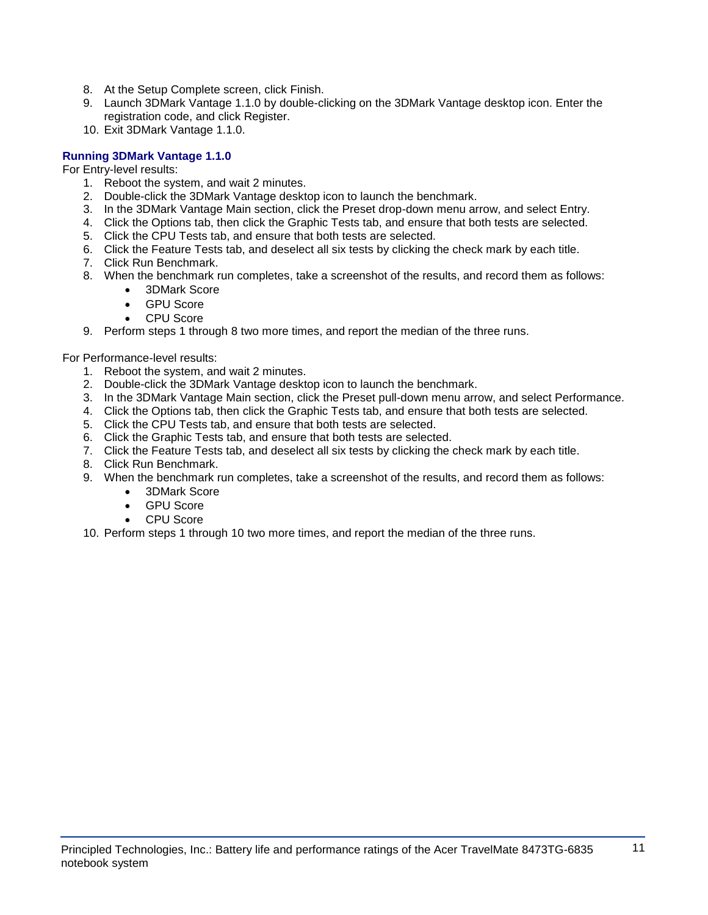- 8. At the Setup Complete screen, click Finish.
- 9. Launch 3DMark Vantage 1.1.0 by double-clicking on the 3DMark Vantage desktop icon. Enter the registration code, and click Register.
- 10. Exit 3DMark Vantage 1.1.0.

#### **Running 3DMark Vantage 1.1.0**

For Entry-level results:

- 1. Reboot the system, and wait 2 minutes.
- 2. Double-click the 3DMark Vantage desktop icon to launch the benchmark.
- 3. In the 3DMark Vantage Main section, click the Preset drop-down menu arrow, and select Entry.
- 4. Click the Options tab, then click the Graphic Tests tab, and ensure that both tests are selected.
- 5. Click the CPU Tests tab, and ensure that both tests are selected.
- 6. Click the Feature Tests tab, and deselect all six tests by clicking the check mark by each title.
- 7. Click Run Benchmark.
- 8. When the benchmark run completes, take a screenshot of the results, and record them as follows:
	- 3DMark Score
	- GPU Score
	- CPU Score
- 9. Perform steps 1 through 8 two more times, and report the median of the three runs.

For Performance-level results:

- 1. Reboot the system, and wait 2 minutes.
- 2. Double-click the 3DMark Vantage desktop icon to launch the benchmark.
- 3. In the 3DMark Vantage Main section, click the Preset pull-down menu arrow, and select Performance.
- 4. Click the Options tab, then click the Graphic Tests tab, and ensure that both tests are selected.
- 5. Click the CPU Tests tab, and ensure that both tests are selected.
- 6. Click the Graphic Tests tab, and ensure that both tests are selected.
- 7. Click the Feature Tests tab, and deselect all six tests by clicking the check mark by each title.
- 8. Click Run Benchmark.
- 9. When the benchmark run completes, take a screenshot of the results, and record them as follows:
	- 3DMark Score
	- GPU Score
	- CPU Score
- 10. Perform steps 1 through 10 two more times, and report the median of the three runs.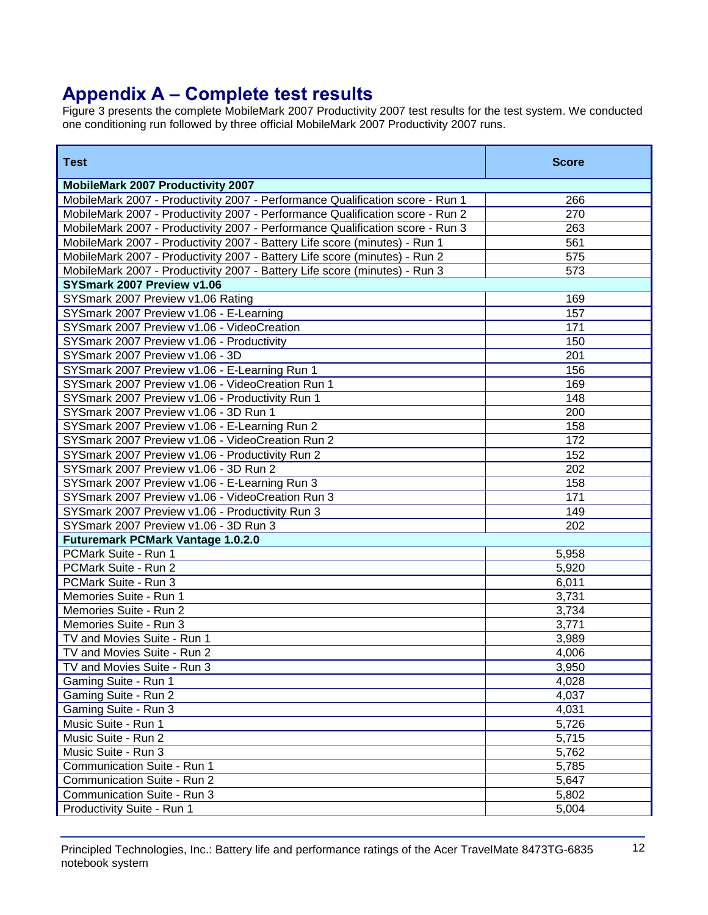# **Appendix A – Complete test results**

Figure 3 presents the complete MobileMark 2007 Productivity 2007 test results for the test system. We conducted one conditioning run followed by three official MobileMark 2007 Productivity 2007 runs.

| <b>Test</b>                                                                   | <b>Score</b> |
|-------------------------------------------------------------------------------|--------------|
| <b>MobileMark 2007 Productivity 2007</b>                                      |              |
| MobileMark 2007 - Productivity 2007 - Performance Qualification score - Run 1 | 266          |
| MobileMark 2007 - Productivity 2007 - Performance Qualification score - Run 2 | 270          |
| MobileMark 2007 - Productivity 2007 - Performance Qualification score - Run 3 | 263          |
| MobileMark 2007 - Productivity 2007 - Battery Life score (minutes) - Run 1    | 561          |
| MobileMark 2007 - Productivity 2007 - Battery Life score (minutes) - Run 2    | 575          |
| MobileMark 2007 - Productivity 2007 - Battery Life score (minutes) - Run 3    | 573          |
| SYSmark 2007 Preview v1.06                                                    |              |
| SYSmark 2007 Preview v1.06 Rating                                             | 169          |
| SYSmark 2007 Preview v1.06 - E-Learning                                       | 157          |
| SYSmark 2007 Preview v1.06 - VideoCreation                                    | 171          |
| SYSmark 2007 Preview v1.06 - Productivity                                     | 150          |
| SYSmark 2007 Preview v1.06 - 3D                                               | 201          |
| SYSmark 2007 Preview v1.06 - E-Learning Run 1                                 | 156          |
| SYSmark 2007 Preview v1.06 - VideoCreation Run 1                              | 169          |
| SYSmark 2007 Preview v1.06 - Productivity Run 1                               | 148          |
| SYSmark 2007 Preview v1.06 - 3D Run 1                                         | 200          |
| SYSmark 2007 Preview v1.06 - E-Learning Run 2                                 | 158          |
| SYSmark 2007 Preview v1.06 - VideoCreation Run 2                              | 172          |
| SYSmark 2007 Preview v1.06 - Productivity Run 2                               | 152          |
| SYSmark 2007 Preview v1.06 - 3D Run 2                                         | 202          |
| SYSmark 2007 Preview v1.06 - E-Learning Run 3                                 | 158          |
| SYSmark 2007 Preview v1.06 - VideoCreation Run 3                              | 171          |
| SYSmark 2007 Preview v1.06 - Productivity Run 3                               | 149          |
| SYSmark 2007 Preview v1.06 - 3D Run 3                                         | 202          |
| <b>Futuremark PCMark Vantage 1.0.2.0</b>                                      |              |
| PCMark Suite - Run 1                                                          | 5,958        |
| PCMark Suite - Run 2                                                          | 5,920        |
| PCMark Suite - Run 3                                                          | 6,011        |
| Memories Suite - Run 1                                                        | 3,731        |
| Memories Suite - Run 2                                                        | 3,734        |
| Memories Suite - Run 3                                                        | 3,771        |
| TV and Movies Suite - Run 1                                                   | 3,989        |
| TV and Movies Suite - Run 2                                                   | 4,006        |
| TV and Movies Suite - Run 3                                                   | 3,950        |
| Gaming Suite - Run 1                                                          | 4,028        |
| Gaming Suite - Run 2                                                          | 4,037        |
| Gaming Suite - Run 3                                                          | 4,031        |
| Music Suite - Run 1                                                           | 5,726        |
| Music Suite - Run 2                                                           | 5,715        |
| Music Suite - Run 3                                                           | 5,762        |
| Communication Suite - Run 1                                                   | 5,785        |
| Communication Suite - Run 2                                                   | 5,647        |
| Communication Suite - Run 3                                                   | 5,802        |
| Productivity Suite - Run 1                                                    | 5,004        |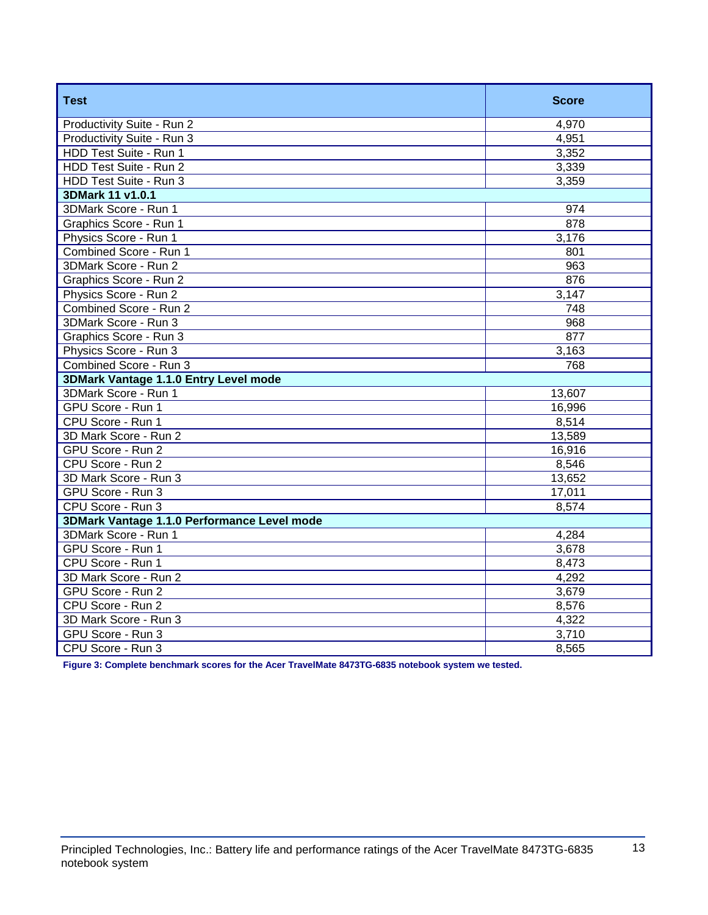| <b>Test</b>                                 | <b>Score</b>     |
|---------------------------------------------|------------------|
| Productivity Suite - Run 2                  | 4,970            |
| Productivity Suite - Run 3                  | 4,951            |
| HDD Test Suite - Run 1                      | 3,352            |
| HDD Test Suite - Run 2                      | 3,339            |
| HDD Test Suite - Run 3                      | 3,359            |
| 3DMark 11 v1.0.1                            |                  |
| 3DMark Score - Run 1                        | 974              |
| Graphics Score - Run 1                      | 878              |
| Physics Score - Run 1                       | 3,176            |
| Combined Score - Run 1                      | 801              |
| 3DMark Score - Run 2                        | $\overline{963}$ |
| Graphics Score - Run 2                      | 876              |
| Physics Score - Run 2                       | 3,147            |
| Combined Score - Run 2                      | 748              |
| 3DMark Score - Run 3                        | 968              |
| Graphics Score - Run 3                      | 877              |
| Physics Score - Run 3                       | 3,163            |
| Combined Score - Run 3                      | 768              |
| 3DMark Vantage 1.1.0 Entry Level mode       |                  |
| 3DMark Score - Run 1                        | 13,607           |
| GPU Score - Run 1                           | 16,996           |
| CPU Score - Run 1                           | 8,514            |
| 3D Mark Score - Run 2                       | 13,589           |
| GPU Score - Run 2                           | 16,916           |
| CPU Score - Run 2                           | 8,546            |
| 3D Mark Score - Run 3                       | 13,652           |
| GPU Score - Run 3                           | 17,011           |
| CPU Score - Run 3                           | 8,574            |
| 3DMark Vantage 1.1.0 Performance Level mode |                  |
| 3DMark Score - Run 1                        | 4,284            |
| GPU Score - Run 1                           | 3,678            |
| CPU Score - Run 1                           | 8,473            |
| 3D Mark Score - Run 2                       | 4,292            |
| GPU Score - Run 2                           | 3,679            |
| CPU Score - Run 2                           | 8,576            |
| 3D Mark Score - Run 3                       | 4,322            |
| GPU Score - Run 3                           | 3,710            |
| CPU Score - Run 3                           | 8,565            |

**Figure 3: Complete benchmark scores for the Acer TravelMate 8473TG-6835 notebook system we tested.**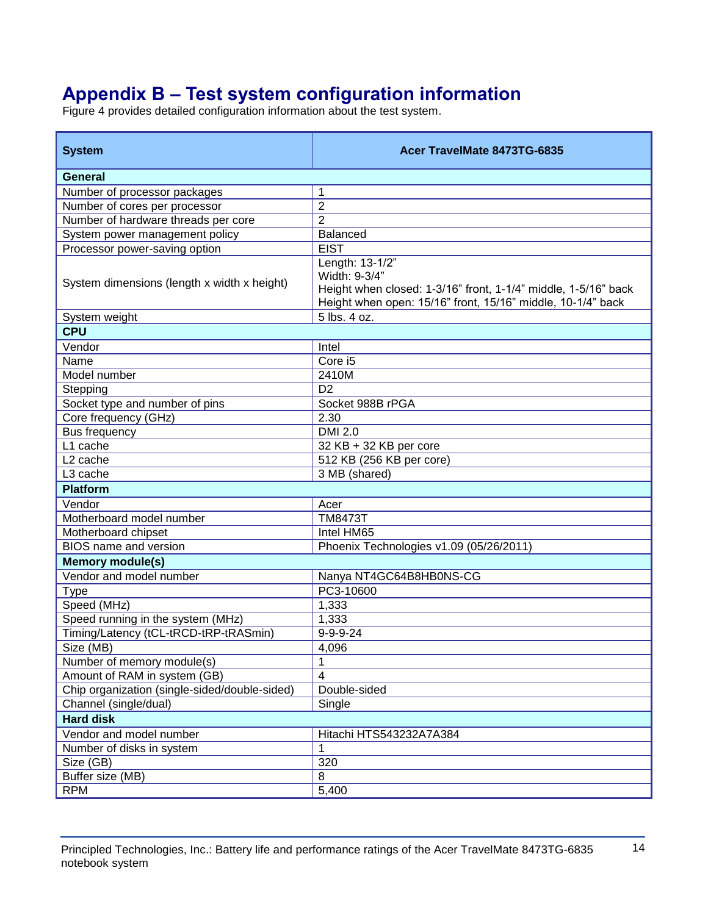# **Appendix B – Test system configuration information**

Figure 4 provides detailed configuration information about the test system.

| <b>System</b>                                 | Acer TravelMate 8473TG-6835                                                                                                                                       |
|-----------------------------------------------|-------------------------------------------------------------------------------------------------------------------------------------------------------------------|
| General                                       |                                                                                                                                                                   |
| Number of processor packages                  | 1                                                                                                                                                                 |
| Number of cores per processor                 | $\overline{2}$                                                                                                                                                    |
| Number of hardware threads per core           | $\overline{2}$                                                                                                                                                    |
| System power management policy                | <b>Balanced</b>                                                                                                                                                   |
| Processor power-saving option                 | <b>EIST</b>                                                                                                                                                       |
| System dimensions (length x width x height)   | Length: 13-1/2"<br>Width: 9-3/4"<br>Height when closed: 1-3/16" front, 1-1/4" middle, 1-5/16" back<br>Height when open: 15/16" front, 15/16" middle, 10-1/4" back |
| System weight                                 | 5 lbs. 4 oz.                                                                                                                                                      |
| <b>CPU</b>                                    |                                                                                                                                                                   |
| Vendor                                        | Intel                                                                                                                                                             |
| Name                                          | Core i5                                                                                                                                                           |
| Model number                                  | 2410M                                                                                                                                                             |
| Stepping                                      | D <sub>2</sub>                                                                                                                                                    |
| Socket type and number of pins                | Socket 988B rPGA                                                                                                                                                  |
| Core frequency (GHz)                          | 2.30                                                                                                                                                              |
| <b>Bus frequency</b>                          | <b>DMI 2.0</b>                                                                                                                                                    |
| L1 cache                                      | 32 KB + 32 KB per core                                                                                                                                            |
| L <sub>2</sub> cache                          | 512 KB (256 KB per core)                                                                                                                                          |
| L3 cache                                      | 3 MB (shared)                                                                                                                                                     |
| <b>Platform</b>                               |                                                                                                                                                                   |
| Vendor                                        | Acer                                                                                                                                                              |
| Motherboard model number                      | <b>TM8473T</b>                                                                                                                                                    |
| Motherboard chipset                           | Intel HM65                                                                                                                                                        |
| <b>BIOS</b> name and version                  | Phoenix Technologies v1.09 (05/26/2011)                                                                                                                           |
| <b>Memory module(s)</b>                       |                                                                                                                                                                   |
| Vendor and model number                       | Nanya NT4GC64B8HB0NS-CG                                                                                                                                           |
| <b>Type</b>                                   | PC3-10600                                                                                                                                                         |
| Speed (MHz)                                   | 1,333                                                                                                                                                             |
| Speed running in the system (MHz)             | 1,333                                                                                                                                                             |
| Timing/Latency (tCL-tRCD-tRP-tRASmin)         | $9 - 9 - 9 - 24$                                                                                                                                                  |
| Size (MB)                                     | 4,096                                                                                                                                                             |
| Number of memory module(s)                    | 1                                                                                                                                                                 |
| Amount of RAM in system (GB)                  | 4                                                                                                                                                                 |
| Chip organization (single-sided/double-sided) | Double-sided                                                                                                                                                      |
| Channel (single/dual)                         | Single                                                                                                                                                            |
| <b>Hard disk</b>                              |                                                                                                                                                                   |
| Vendor and model number                       | Hitachi HTS543232A7A384                                                                                                                                           |
| Number of disks in system                     | 1                                                                                                                                                                 |
| Size (GB)                                     | 320                                                                                                                                                               |
| Buffer size (MB)                              | 8                                                                                                                                                                 |
| <b>RPM</b>                                    | 5,400                                                                                                                                                             |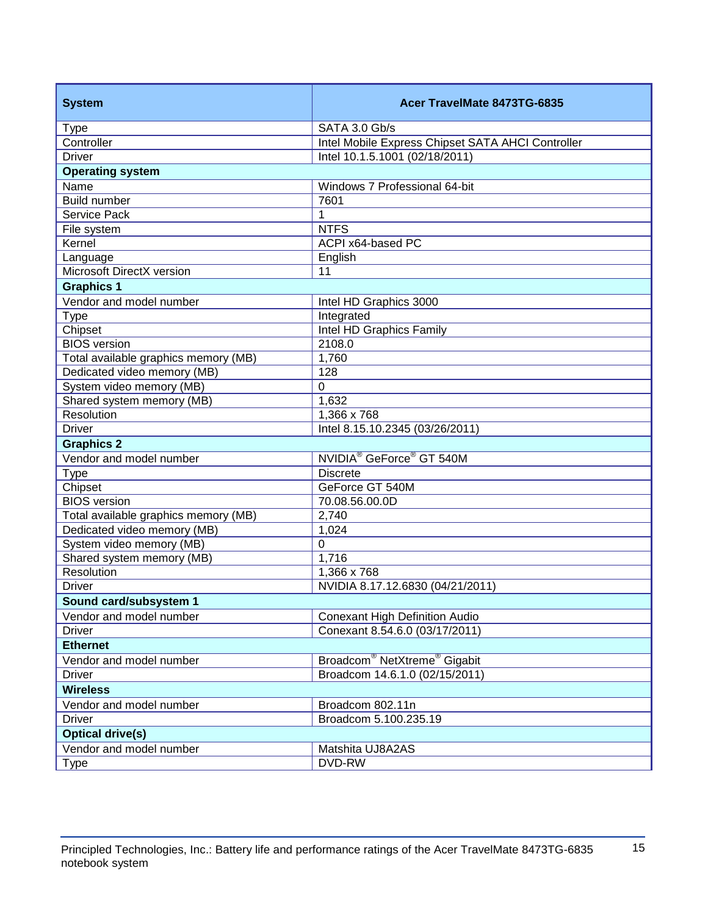| <b>System</b>                                         | Acer TravelMate 8473TG-6835                          |  |
|-------------------------------------------------------|------------------------------------------------------|--|
| <b>Type</b>                                           | SATA 3.0 Gb/s                                        |  |
| Controller                                            | Intel Mobile Express Chipset SATA AHCI Controller    |  |
| <b>Driver</b>                                         | Intel 10.1.5.1001 (02/18/2011)                       |  |
| <b>Operating system</b>                               |                                                      |  |
| Name                                                  | Windows 7 Professional 64-bit                        |  |
| <b>Build number</b>                                   | 7601                                                 |  |
| <b>Service Pack</b>                                   | 1                                                    |  |
| File system                                           | <b>NTFS</b>                                          |  |
| Kernel                                                | ACPI x64-based PC                                    |  |
| Language                                              | English                                              |  |
| Microsoft DirectX version                             | 11                                                   |  |
| <b>Graphics 1</b>                                     |                                                      |  |
| Vendor and model number                               | Intel HD Graphics 3000                               |  |
| <b>Type</b>                                           | Integrated                                           |  |
| Chipset                                               | Intel HD Graphics Family                             |  |
| <b>BIOS</b> version                                   | 2108.0                                               |  |
| Total available graphics memory (MB)                  | 1,760                                                |  |
| Dedicated video memory (MB)                           | 128<br>$\Omega$                                      |  |
| System video memory (MB)<br>Shared system memory (MB) | 1,632                                                |  |
| <b>Resolution</b>                                     | 1,366 x 768                                          |  |
| <b>Driver</b>                                         | Intel 8.15.10.2345 (03/26/2011)                      |  |
| <b>Graphics 2</b>                                     |                                                      |  |
| Vendor and model number                               | NVIDIA <sup>®</sup> GeForce <sup>®</sup> GT 540M     |  |
| <b>Type</b>                                           | <b>Discrete</b>                                      |  |
| Chipset                                               | GeForce GT 540M                                      |  |
| <b>BIOS</b> version                                   | 70.08.56.00.0D                                       |  |
| Total available graphics memory (MB)                  | 2,740                                                |  |
| Dedicated video memory (MB)                           | 1,024                                                |  |
| System video memory (MB)                              | $\Omega$                                             |  |
| Shared system memory (MB)                             | 1,716                                                |  |
| Resolution                                            | 1,366 x 768                                          |  |
| <b>Driver</b>                                         | NVIDIA 8.17.12.6830 (04/21/2011)                     |  |
| Sound card/subsystem 1                                |                                                      |  |
| Vendor and model number                               | Conexant High Definition Audio                       |  |
| <b>Driver</b>                                         | Conexant 8.54.6.0 (03/17/2011)                       |  |
| <b>Ethernet</b>                                       |                                                      |  |
| Vendor and model number                               | Broadcom <sup>®</sup> NetXtreme <sup>®</sup> Gigabit |  |
| <b>Driver</b>                                         | Broadcom 14.6.1.0 (02/15/2011)                       |  |
| <b>Wireless</b>                                       |                                                      |  |
| Vendor and model number                               | Broadcom 802.11n                                     |  |
| <b>Driver</b>                                         | Broadcom 5.100.235.19                                |  |
| <b>Optical drive(s)</b>                               |                                                      |  |
| Vendor and model number                               | Matshita UJ8A2AS                                     |  |
| <b>Type</b>                                           | DVD-RW                                               |  |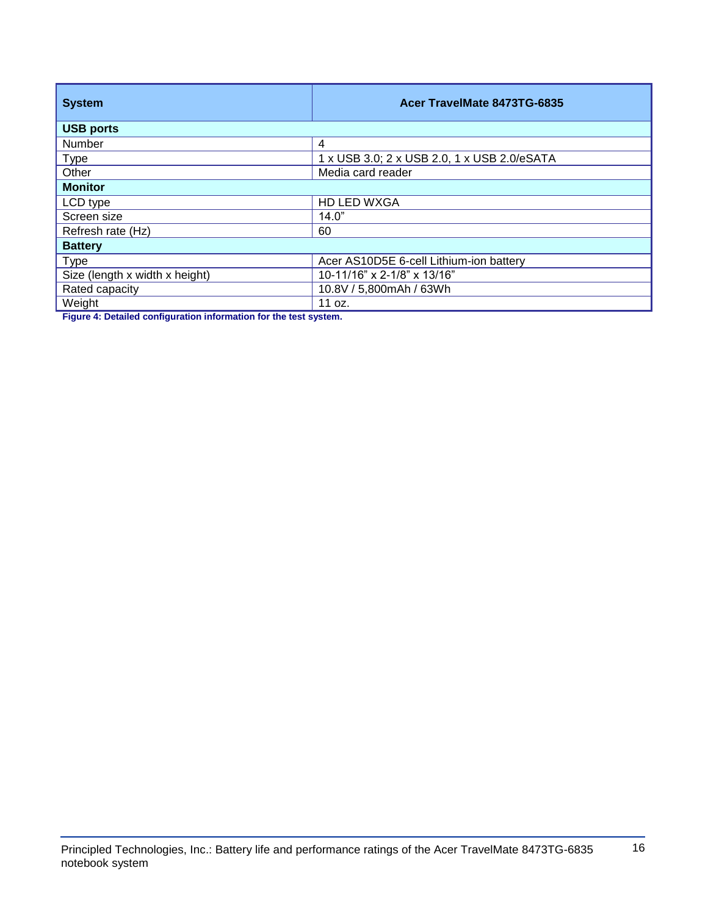| <b>System</b>                  | Acer TravelMate 8473TG-6835                 |  |
|--------------------------------|---------------------------------------------|--|
| <b>USB ports</b>               |                                             |  |
| Number                         | 4                                           |  |
| <b>Type</b>                    | 1 x USB 3.0; 2 x USB 2.0, 1 x USB 2.0/eSATA |  |
| Other                          | Media card reader                           |  |
| <b>Monitor</b>                 |                                             |  |
| LCD type                       | <b>HD LED WXGA</b>                          |  |
| Screen size                    | 14.0"                                       |  |
| Refresh rate (Hz)              | 60                                          |  |
| <b>Battery</b>                 |                                             |  |
| <b>Type</b>                    | Acer AS10D5E 6-cell Lithium-ion battery     |  |
| Size (length x width x height) | 10-11/16" x 2-1/8" x 13/16"                 |  |
| Rated capacity                 | 10.8V / 5,800mAh / 63Wh                     |  |
| Weight                         | 11 oz.                                      |  |

**Figure 4: Detailed configuration information for the test system.**